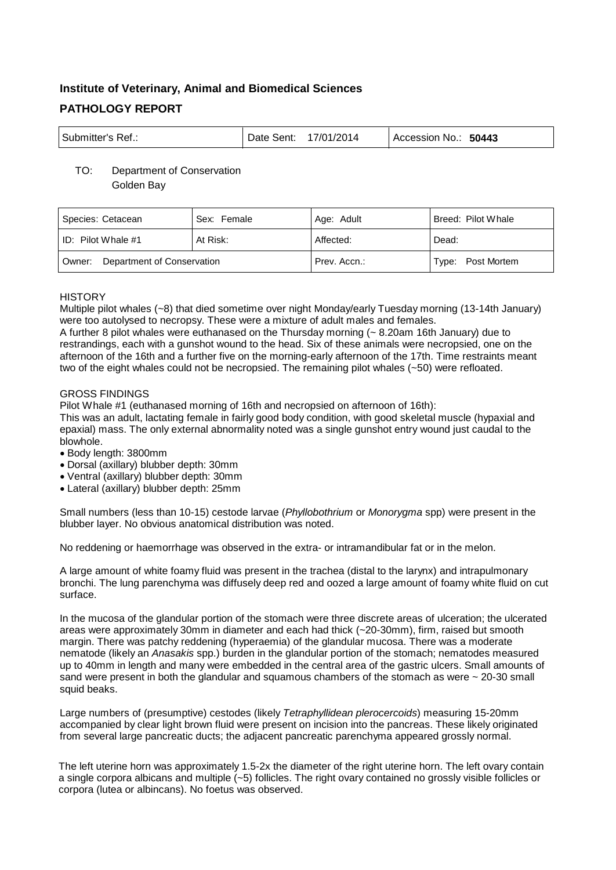# **Institute of Veterinary, Animal and Biomedical Sciences PATHOLOGY REPORT**

| Submitter's Ref.: | Date Sent: $17/01/2014$ |  | Accession No.: 50443 |
|-------------------|-------------------------|--|----------------------|
|-------------------|-------------------------|--|----------------------|

# TO: Department of Conservation Golden Bay

| Species: Cetacean                    | Sex: Female | Age: Adult   | Breed: Pilot Whale |
|--------------------------------------|-------------|--------------|--------------------|
| ID: Pilot Whale #1                   | At Risk:    | Affected:    | Dead:              |
| Department of Conservation<br>Owner: |             | Prev. Accn.: | Type: Post Mortem  |

# **HISTORY**

Multiple pilot whales (~8) that died sometime over night Monday/early Tuesday morning (13-14th January) were too autolysed to necropsy. These were a mixture of adult males and females.

A further 8 pilot whales were euthanased on the Thursday morning (~ 8.20am 16th January) due to restrandings, each with a gunshot wound to the head. Six of these animals were necropsied, one on the afternoon of the 16th and a further five on the morning-early afternoon of the 17th. Time restraints meant two of the eight whales could not be necropsied. The remaining pilot whales (~50) were refloated.

# GROSS FINDINGS

Pilot Whale #1 (euthanased morning of 16th and necropsied on afternoon of 16th):

This was an adult, lactating female in fairly good body condition, with good skeletal muscle (hypaxial and epaxial) mass. The only external abnormality noted was a single gunshot entry wound just caudal to the blowhole.

- Body length: 3800mm
- Dorsal (axillary) blubber depth: 30mm
- Ventral (axillary) blubber depth: 30mm
- Lateral (axillary) blubber depth: 25mm

Small numbers (less than 10-15) cestode larvae (*Phyllobothrium* or *Monorygma* spp) were present in the blubber layer. No obvious anatomical distribution was noted.

No reddening or haemorrhage was observed in the extra- or intramandibular fat or in the melon.

A large amount of white foamy fluid was present in the trachea (distal to the larynx) and intrapulmonary bronchi. The lung parenchyma was diffusely deep red and oozed a large amount of foamy white fluid on cut surface.

In the mucosa of the glandular portion of the stomach were three discrete areas of ulceration; the ulcerated areas were approximately 30mm in diameter and each had thick (~20-30mm), firm, raised but smooth margin. There was patchy reddening (hyperaemia) of the glandular mucosa. There was a moderate nematode (likely an *Anasakis* spp.) burden in the glandular portion of the stomach; nematodes measured up to 40mm in length and many were embedded in the central area of the gastric ulcers. Small amounts of sand were present in both the glandular and squamous chambers of the stomach as were  $\sim$  20-30 small squid beaks.

Large numbers of (presumptive) cestodes (likely *Tetraphyllidean plerocercoids*) measuring 15-20mm accompanied by clear light brown fluid were present on incision into the pancreas. These likely originated from several large pancreatic ducts; the adjacent pancreatic parenchyma appeared grossly normal.

The left uterine horn was approximately 1.5-2x the diameter of the right uterine horn. The left ovary contain a single corpora albicans and multiple (~5) follicles. The right ovary contained no grossly visible follicles or corpora (lutea or albincans). No foetus was observed.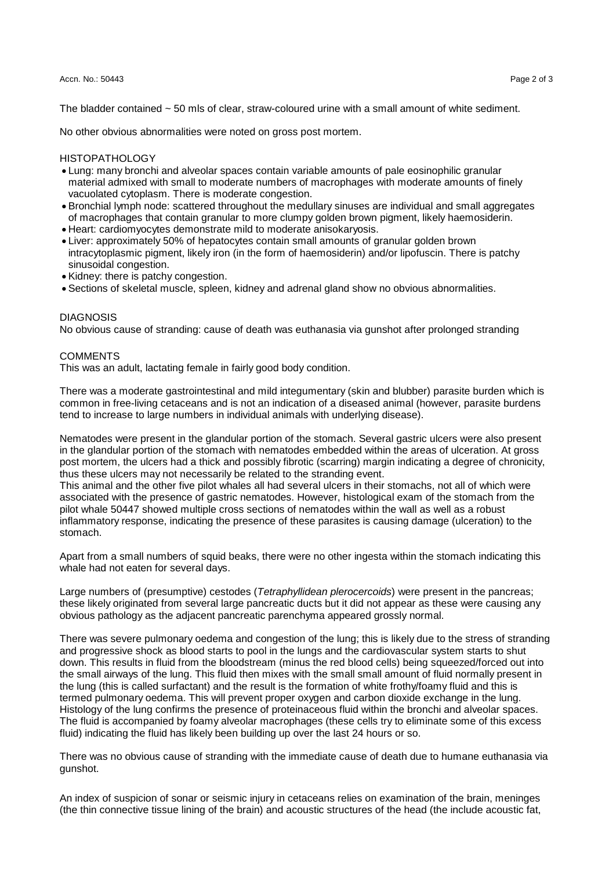#### Accn. No.: 50443 Page 2 of 3

The bladder contained ~ 50 mls of clear, straw-coloured urine with a small amount of white sediment.

No other obvious abnormalities were noted on gross post mortem.

### HISTOPATHOLOGY

- Lung: many bronchi and alveolar spaces contain variable amounts of pale eosinophilic granular material admixed with small to moderate numbers of macrophages with moderate amounts of finely vacuolated cytoplasm. There is moderate congestion.
- Bronchial lymph node: scattered throughout the medullary sinuses are individual and small aggregates of macrophages that contain granular to more clumpy golden brown pigment, likely haemosiderin.
- Heart: cardiomyocytes demonstrate mild to moderate anisokaryosis.
- Liver: approximately 50% of hepatocytes contain small amounts of granular golden brown intracytoplasmic pigment, likely iron (in the form of haemosiderin) and/or lipofuscin. There is patchy sinusoidal congestion.
- Kidney: there is patchy congestion.
- Sections of skeletal muscle, spleen, kidney and adrenal gland show no obvious abnormalities.

## **DIAGNOSIS**

No obvious cause of stranding: cause of death was euthanasia via gunshot after prolonged stranding

## **COMMENTS**

This was an adult, lactating female in fairly good body condition.

There was a moderate gastrointestinal and mild integumentary (skin and blubber) parasite burden which is common in free-living cetaceans and is not an indication of a diseased animal (however, parasite burdens tend to increase to large numbers in individual animals with underlying disease).

Nematodes were present in the glandular portion of the stomach. Several gastric ulcers were also present in the glandular portion of the stomach with nematodes embedded within the areas of ulceration. At gross post mortem, the ulcers had a thick and possibly fibrotic (scarring) margin indicating a degree of chronicity, thus these ulcers may not necessarily be related to the stranding event.

This animal and the other five pilot whales all had several ulcers in their stomachs, not all of which were associated with the presence of gastric nematodes. However, histological exam of the stomach from the pilot whale 50447 showed multiple cross sections of nematodes within the wall as well as a robust inflammatory response, indicating the presence of these parasites is causing damage (ulceration) to the stomach.

Apart from a small numbers of squid beaks, there were no other ingesta within the stomach indicating this whale had not eaten for several days.

Large numbers of (presumptive) cestodes (*Tetraphyllidean plerocercoids*) were present in the pancreas; these likely originated from several large pancreatic ducts but it did not appear as these were causing any obvious pathology as the adjacent pancreatic parenchyma appeared grossly normal.

There was severe pulmonary oedema and congestion of the lung; this is likely due to the stress of stranding and progressive shock as blood starts to pool in the lungs and the cardiovascular system starts to shut down. This results in fluid from the bloodstream (minus the red blood cells) being squeezed/forced out into the small airways of the lung. This fluid then mixes with the small small amount of fluid normally present in the lung (this is called surfactant) and the result is the formation of white frothy/foamy fluid and this is termed pulmonary oedema. This will prevent proper oxygen and carbon dioxide exchange in the lung. Histology of the lung confirms the presence of proteinaceous fluid within the bronchi and alveolar spaces. The fluid is accompanied by foamy alveolar macrophages (these cells try to eliminate some of this excess fluid) indicating the fluid has likely been building up over the last 24 hours or so.

There was no obvious cause of stranding with the immediate cause of death due to humane euthanasia via gunshot.

An index of suspicion of sonar or seismic injury in cetaceans relies on examination of the brain, meninges (the thin connective tissue lining of the brain) and acoustic structures of the head (the include acoustic fat,